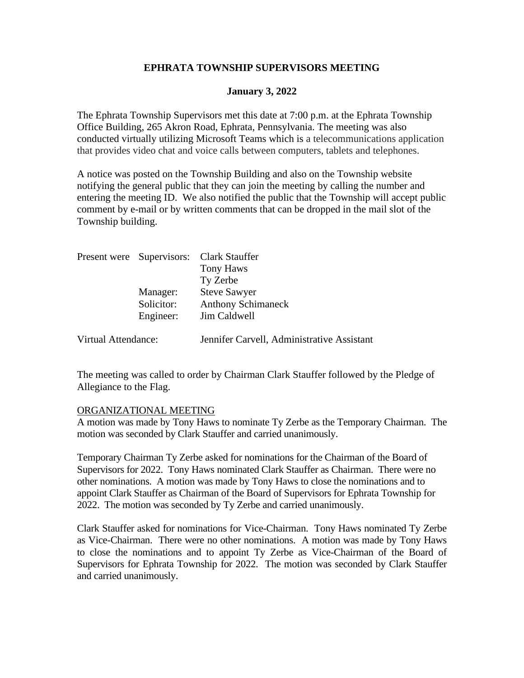# **EPHRATA TOWNSHIP SUPERVISORS MEETING**

#### **January 3, 2022**

The Ephrata Township Supervisors met this date at 7:00 p.m. at the Ephrata Township Office Building, 265 Akron Road, Ephrata, Pennsylvania. The meeting was also conducted virtually utilizing Microsoft Teams which is a telecommunications application that provides video chat and voice calls between computers, tablets and telephones.

A notice was posted on the Township Building and also on the Township website notifying the general public that they can join the meeting by calling the number and entering the meeting ID. We also notified the public that the Township will accept public comment by e-mail or by written comments that can be dropped in the mail slot of the Township building.

|                     |                                     | Present were Supervisors: Clark Stauffer<br>Tony Haws<br>Ty Zerbe |
|---------------------|-------------------------------------|-------------------------------------------------------------------|
|                     | Manager:<br>Solicitor:<br>Engineer: | <b>Steve Sawyer</b><br><b>Anthony Schimaneck</b><br>Jim Caldwell  |
| Virtual Attendance: |                                     | Jennifer Carvell, Administrative Assistant                        |

The meeting was called to order by Chairman Clark Stauffer followed by the Pledge of Allegiance to the Flag.

#### ORGANIZATIONAL MEETING

A motion was made by Tony Haws to nominate Ty Zerbe as the Temporary Chairman. The motion was seconded by Clark Stauffer and carried unanimously.

Temporary Chairman Ty Zerbe asked for nominations for the Chairman of the Board of Supervisors for 2022. Tony Haws nominated Clark Stauffer as Chairman. There were no other nominations. A motion was made by Tony Haws to close the nominations and to appoint Clark Stauffer as Chairman of the Board of Supervisors for Ephrata Township for 2022. The motion was seconded by Ty Zerbe and carried unanimously.

Clark Stauffer asked for nominations for Vice-Chairman. Tony Haws nominated Ty Zerbe as Vice-Chairman. There were no other nominations. A motion was made by Tony Haws to close the nominations and to appoint Ty Zerbe as Vice-Chairman of the Board of Supervisors for Ephrata Township for 2022. The motion was seconded by Clark Stauffer and carried unanimously.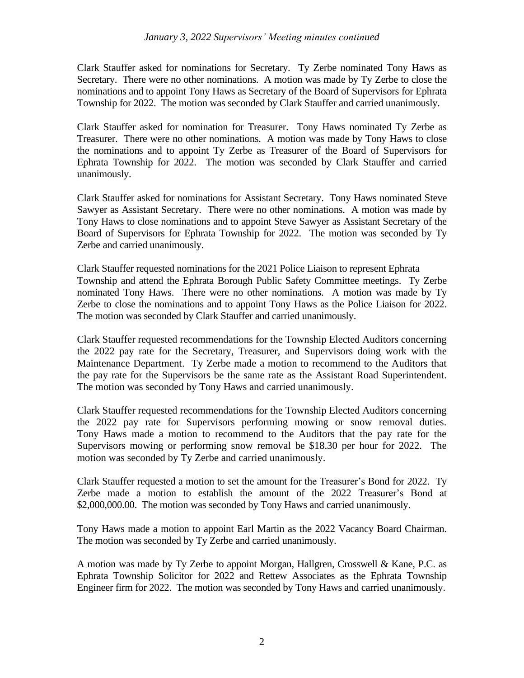Clark Stauffer asked for nominations for Secretary. Ty Zerbe nominated Tony Haws as Secretary. There were no other nominations. A motion was made by Ty Zerbe to close the nominations and to appoint Tony Haws as Secretary of the Board of Supervisors for Ephrata Township for 2022. The motion was seconded by Clark Stauffer and carried unanimously.

Clark Stauffer asked for nomination for Treasurer. Tony Haws nominated Ty Zerbe as Treasurer. There were no other nominations. A motion was made by Tony Haws to close the nominations and to appoint Ty Zerbe as Treasurer of the Board of Supervisors for Ephrata Township for 2022. The motion was seconded by Clark Stauffer and carried unanimously.

Clark Stauffer asked for nominations for Assistant Secretary. Tony Haws nominated Steve Sawyer as Assistant Secretary. There were no other nominations. A motion was made by Tony Haws to close nominations and to appoint Steve Sawyer as Assistant Secretary of the Board of Supervisors for Ephrata Township for 2022. The motion was seconded by Ty Zerbe and carried unanimously.

Clark Stauffer requested nominations for the 2021 Police Liaison to represent Ephrata Township and attend the Ephrata Borough Public Safety Committee meetings. Ty Zerbe nominated Tony Haws. There were no other nominations. A motion was made by Ty Zerbe to close the nominations and to appoint Tony Haws as the Police Liaison for 2022. The motion was seconded by Clark Stauffer and carried unanimously.

Clark Stauffer requested recommendations for the Township Elected Auditors concerning the 2022 pay rate for the Secretary, Treasurer, and Supervisors doing work with the Maintenance Department. Ty Zerbe made a motion to recommend to the Auditors that the pay rate for the Supervisors be the same rate as the Assistant Road Superintendent. The motion was seconded by Tony Haws and carried unanimously.

Clark Stauffer requested recommendations for the Township Elected Auditors concerning the 2022 pay rate for Supervisors performing mowing or snow removal duties. Tony Haws made a motion to recommend to the Auditors that the pay rate for the Supervisors mowing or performing snow removal be \$18.30 per hour for 2022. The motion was seconded by Ty Zerbe and carried unanimously.

Clark Stauffer requested a motion to set the amount for the Treasurer's Bond for 2022. Ty Zerbe made a motion to establish the amount of the 2022 Treasurer's Bond at \$2,000,000.00. The motion was seconded by Tony Haws and carried unanimously.

Tony Haws made a motion to appoint Earl Martin as the 2022 Vacancy Board Chairman. The motion was seconded by Ty Zerbe and carried unanimously.

A motion was made by Ty Zerbe to appoint Morgan, Hallgren, Crosswell & Kane, P.C. as Ephrata Township Solicitor for 2022 and Rettew Associates as the Ephrata Township Engineer firm for 2022. The motion was seconded by Tony Haws and carried unanimously.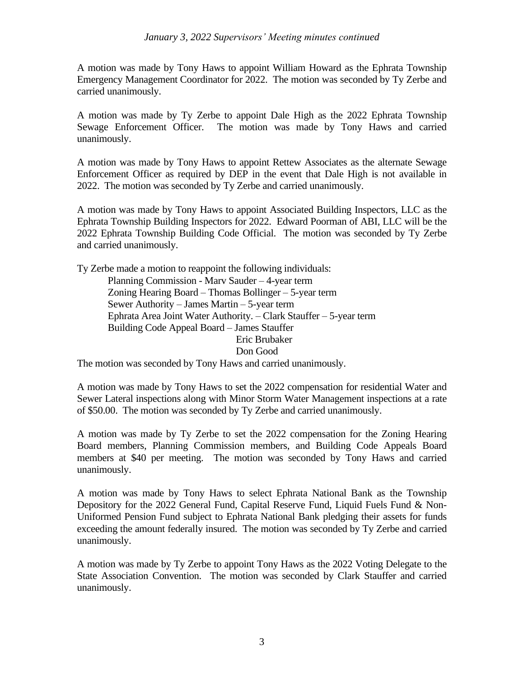A motion was made by Tony Haws to appoint William Howard as the Ephrata Township Emergency Management Coordinator for 2022. The motion was seconded by Ty Zerbe and carried unanimously.

A motion was made by Ty Zerbe to appoint Dale High as the 2022 Ephrata Township Sewage Enforcement Officer. The motion was made by Tony Haws and carried unanimously.

A motion was made by Tony Haws to appoint Rettew Associates as the alternate Sewage Enforcement Officer as required by DEP in the event that Dale High is not available in 2022. The motion was seconded by Ty Zerbe and carried unanimously.

A motion was made by Tony Haws to appoint Associated Building Inspectors, LLC as the Ephrata Township Building Inspectors for 2022. Edward Poorman of ABI, LLC will be the 2022 Ephrata Township Building Code Official. The motion was seconded by Ty Zerbe and carried unanimously.

Ty Zerbe made a motion to reappoint the following individuals: Planning Commission - Marv Sauder – 4-year term Zoning Hearing Board – Thomas Bollinger – 5-year term Sewer Authority – James Martin – 5-year term Ephrata Area Joint Water Authority. – Clark Stauffer – 5-year term Building Code Appeal Board – James Stauffer Eric Brubaker Don Good

The motion was seconded by Tony Haws and carried unanimously.

A motion was made by Tony Haws to set the 2022 compensation for residential Water and Sewer Lateral inspections along with Minor Storm Water Management inspections at a rate of \$50.00. The motion was seconded by Ty Zerbe and carried unanimously.

A motion was made by Ty Zerbe to set the 2022 compensation for the Zoning Hearing Board members, Planning Commission members, and Building Code Appeals Board members at \$40 per meeting. The motion was seconded by Tony Haws and carried unanimously.

A motion was made by Tony Haws to select Ephrata National Bank as the Township Depository for the 2022 General Fund, Capital Reserve Fund, Liquid Fuels Fund & Non-Uniformed Pension Fund subject to Ephrata National Bank pledging their assets for funds exceeding the amount federally insured. The motion was seconded by Ty Zerbe and carried unanimously.

A motion was made by Ty Zerbe to appoint Tony Haws as the 2022 Voting Delegate to the State Association Convention. The motion was seconded by Clark Stauffer and carried unanimously.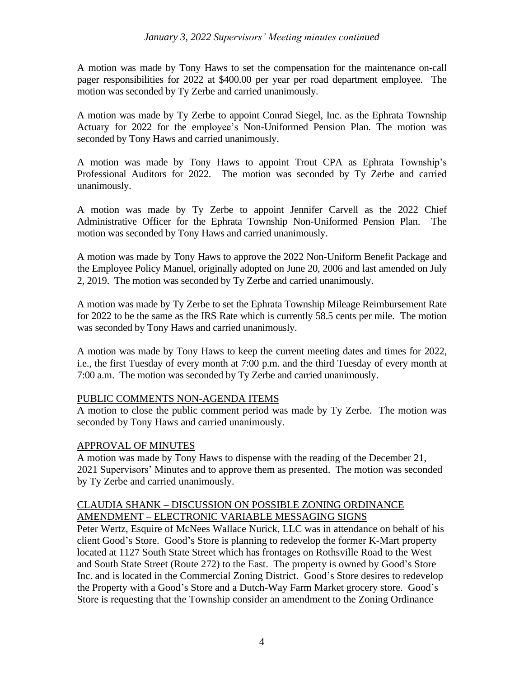A motion was made by Tony Haws to set the compensation for the maintenance on-call pager responsibilities for 2022 at \$400.00 per year per road department employee. The motion was seconded by Ty Zerbe and carried unanimously.

A motion was made by Ty Zerbe to appoint Conrad Siegel, Inc. as the Ephrata Township Actuary for 2022 for the employee's Non-Uniformed Pension Plan. The motion was seconded by Tony Haws and carried unanimously.

A motion was made by Tony Haws to appoint Trout CPA as Ephrata Township's Professional Auditors for 2022. The motion was seconded by Ty Zerbe and carried unanimously.

A motion was made by Ty Zerbe to appoint Jennifer Carvell as the 2022 Chief Administrative Officer for the Ephrata Township Non-Uniformed Pension Plan. The motion was seconded by Tony Haws and carried unanimously.

A motion was made by Tony Haws to approve the 2022 Non-Uniform Benefit Package and the Employee Policy Manuel, originally adopted on June 20, 2006 and last amended on July 2, 2019. The motion was seconded by Ty Zerbe and carried unanimously.

A motion was made by Ty Zerbe to set the Ephrata Township Mileage Reimbursement Rate for 2022 to be the same as the IRS Rate which is currently 58.5 cents per mile. The motion was seconded by Tony Haws and carried unanimously.

A motion was made by Tony Haws to keep the current meeting dates and times for 2022, i.e., the first Tuesday of every month at 7:00 p.m. and the third Tuesday of every month at 7:00 a.m. The motion was seconded by Ty Zerbe and carried unanimously.

# PUBLIC COMMENTS NON-AGENDA ITEMS

A motion to close the public comment period was made by Ty Zerbe. The motion was seconded by Tony Haws and carried unanimously.

# APPROVAL OF MINUTES

A motion was made by Tony Haws to dispense with the reading of the December 21, 2021 Supervisors' Minutes and to approve them as presented. The motion was seconded by Ty Zerbe and carried unanimously.

# CLAUDIA SHANK – DISCUSSION ON POSSIBLE ZONING ORDINANCE AMENDMENT – ELECTRONIC VARIABLE MESSAGING SIGNS

Peter Wertz, Esquire of McNees Wallace Nurick, LLC was in attendance on behalf of his client Good's Store. Good's Store is planning to redevelop the former K-Mart property located at 1127 South State Street which has frontages on Rothsville Road to the West and South State Street (Route 272) to the East. The property is owned by Good's Store Inc. and is located in the Commercial Zoning District. Good's Store desires to redevelop the Property with a Good's Store and a Dutch-Way Farm Market grocery store. Good's Store is requesting that the Township consider an amendment to the Zoning Ordinance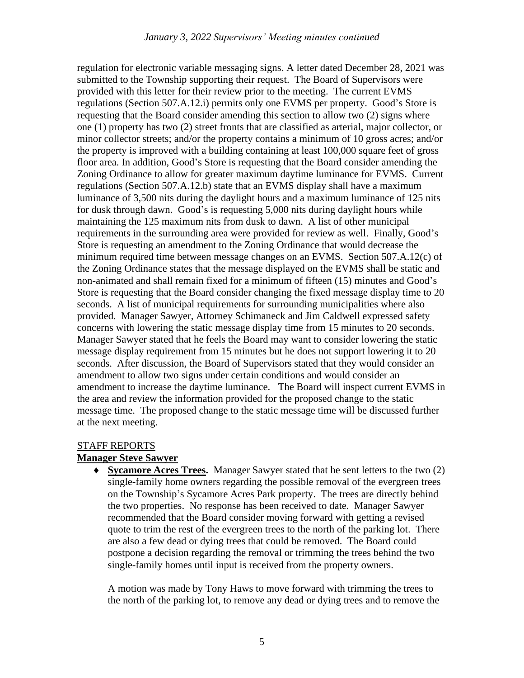regulation for electronic variable messaging signs. A letter dated December 28, 2021 was submitted to the Township supporting their request. The Board of Supervisors were provided with this letter for their review prior to the meeting. The current EVMS regulations (Section 507.A.12.i) permits only one EVMS per property. Good's Store is requesting that the Board consider amending this section to allow two (2) signs where one (1) property has two (2) street fronts that are classified as arterial, major collector, or minor collector streets; and/or the property contains a minimum of 10 gross acres; and/or the property is improved with a building containing at least 100,000 square feet of gross floor area. In addition, Good's Store is requesting that the Board consider amending the Zoning Ordinance to allow for greater maximum daytime luminance for EVMS. Current regulations (Section 507.A.12.b) state that an EVMS display shall have a maximum luminance of 3,500 nits during the daylight hours and a maximum luminance of 125 nits for dusk through dawn. Good's is requesting 5,000 nits during daylight hours while maintaining the 125 maximum nits from dusk to dawn. A list of other municipal requirements in the surrounding area were provided for review as well. Finally, Good's Store is requesting an amendment to the Zoning Ordinance that would decrease the minimum required time between message changes on an EVMS. Section 507.A.12(c) of the Zoning Ordinance states that the message displayed on the EVMS shall be static and non-animated and shall remain fixed for a minimum of fifteen (15) minutes and Good's Store is requesting that the Board consider changing the fixed message display time to 20 seconds. A list of municipal requirements for surrounding municipalities where also provided. Manager Sawyer, Attorney Schimaneck and Jim Caldwell expressed safety concerns with lowering the static message display time from 15 minutes to 20 seconds. Manager Sawyer stated that he feels the Board may want to consider lowering the static message display requirement from 15 minutes but he does not support lowering it to 20 seconds. After discussion, the Board of Supervisors stated that they would consider an amendment to allow two signs under certain conditions and would consider an amendment to increase the daytime luminance. The Board will inspect current EVMS in the area and review the information provided for the proposed change to the static message time. The proposed change to the static message time will be discussed further at the next meeting.

#### STAFF REPORTS

#### **Manager Steve Sawyer**

 **Sycamore Acres Trees.** Manager Sawyer stated that he sent letters to the two (2) single-family home owners regarding the possible removal of the evergreen trees on the Township's Sycamore Acres Park property. The trees are directly behind the two properties. No response has been received to date. Manager Sawyer recommended that the Board consider moving forward with getting a revised quote to trim the rest of the evergreen trees to the north of the parking lot. There are also a few dead or dying trees that could be removed. The Board could postpone a decision regarding the removal or trimming the trees behind the two single-family homes until input is received from the property owners.

A motion was made by Tony Haws to move forward with trimming the trees to the north of the parking lot, to remove any dead or dying trees and to remove the